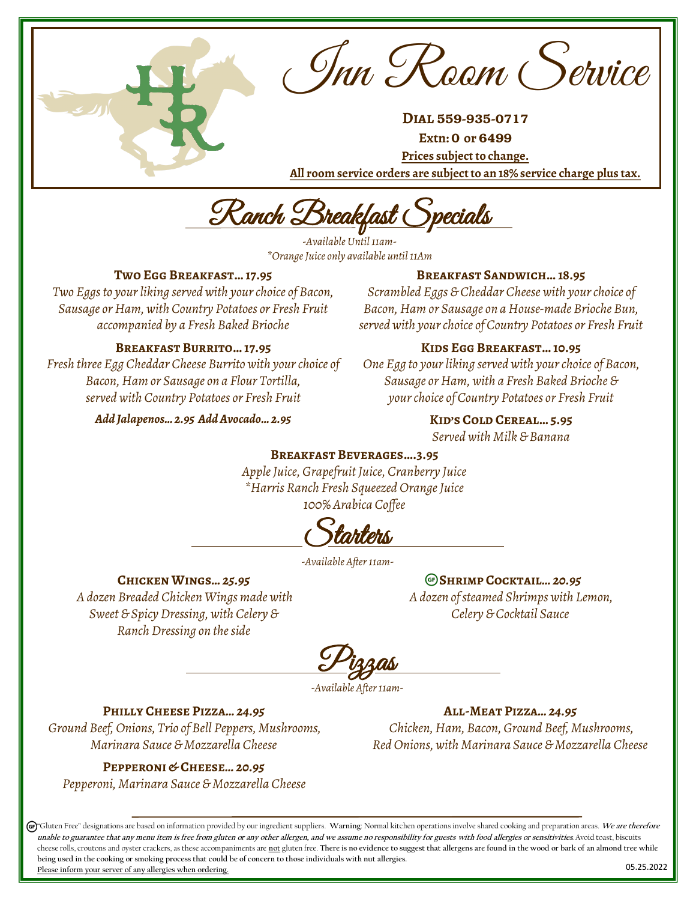Inn Room Service

**Dial** 559-935-0717

**Extn:** 0 **or** 6499

**Prices subject to change. All room service orders are subject to an 18% service charge plus tax.** 

Ranch Breakfast Specials

*-Available Until 11am- \*Orange Juice only available until 11Am*

### **Two Egg Breakfast… 17.95**

*Two Eggs to your liking served with your choice of Bacon, Sausage or Ham, with Country Potatoes or Fresh Fruit accompanied by a Fresh Baked Brioche*

#### **Breakfast Burrito… 17.95**

*Fresh three Egg Cheddar Cheese Burrito with your choice of Bacon, Ham or Sausage on a Flour Tortilla, served with Country Potatoes or Fresh Fruit*

*Add Jalapenos… 2.95 Add Avocado… 2.95*

#### **Breakfast Sandwich… 18.95**

*Scrambled Eggs & Cheddar Cheese with your choice of Bacon, Ham or Sausage on a House-made Brioche Bun, served with your choice of Country Potatoes or Fresh Fruit*

#### **Kids Egg Breakfast… 10.95**

*One Egg to your liking served with your choice of Bacon, Sausage or Ham, with a Fresh Baked Brioche & your choice of Country Potatoes or Fresh Fruit*

**Kid's Cold Cereal… 5.95**

*Served with Milk & Banana*

#### **Breakfast Beverages….3.95**

*Apple Juice, Grapefruit Juice, Cranberry Juice \*Harris Ranch Fresh Squeezed Orange Juice 100% Arabica Coffee*

<u>Starters</u>

*-Available After 11am-*

#### **Chicken Wings***… 25.95*

*A dozen Breaded Chicken Wings made with Sweet & Spicy Dressing, with Celery & Ranch Dressing on the side*

**Shrimp Cocktail***… 20.95 A dozen of steamed Shrimps with Lemon, Celery & Cocktail Sauce*

Pizzas

*-Available After 11am-*

### **Philly Cheese Pizza***… 24.95*

*Ground Beef, Onions, Trio of Bell Peppers, Mushrooms, Marinara Sauce & Mozzarella Cheese*

#### **Pepperoni & Cheese***… 20.95*

*Pepperoni, Marinara Sauce & Mozzarella Cheese*

**All-Meat Pizza***… 24.95 Chicken, Ham, Bacon, Ground Beef, Mushrooms, Red Onions, with Marinara Sauce & Mozzarella Cheese*

05.25.2022 "Gluten Free" designations are based on information provided by our ingredient suppliers. **Warning**: Normal kitchen operations involve shared cooking and preparation areas. **We are therefore**  unable to guarantee that any menu item is free from gluten or any other allergen, and we assume no responsibility for guests with food allergies or sensitivities. Avoid toast, biscuits cheese rolls, croutons and oyster crackers, as these accompaniments are **not** gluten free. **There is no evidence to suggest that allergens are found in the wood or bark of an almond tree while being used in the cooking or smoking process that could be of concern to those individuals with nut allergies. Please inform your server of any allergies when ordering.**